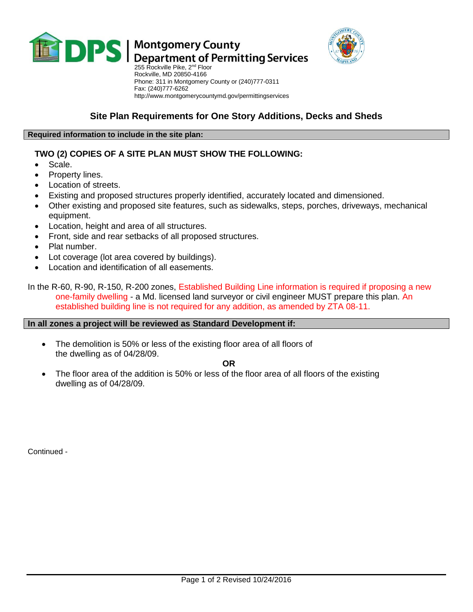

# **DPS** Montgomery County<br>DPS Department of Permitting Services



255 Rockville Pike, 2<sup>nd</sup> Floor Rockville, MD 20850-4166 Phone: 311 in Montgomery County or (240)777-0311 Fax: (240)777-6262 http://www.montgomerycountymd.gov/permittingservices

# **Site Plan Requirements for One Story Additions, Decks and Sheds**

#### **Required information to include in the site plan:**

## **TWO (2) COPIES OF A SITE PLAN MUST SHOW THE FOLLOWING:**

- Scale.
- Property lines.
- Location of streets.
- Existing and proposed structures properly identified, accurately located and dimensioned.
- Other existing and proposed site features, such as sidewalks, steps, porches, driveways, mechanical equipment.
- Location, height and area of all structures.
- Front, side and rear setbacks of all proposed structures.
- Plat number.
- Lot coverage (lot area covered by buildings).
- Location and identification of all easements.

In the R-60, R-90, R-150, R-200 zones, Established Building Line information is required if proposing a new one-family dwelling - a Md. licensed land surveyor or civil engineer MUST prepare this plan. An established building line is not required for any addition, as amended by ZTA 08-11.

#### **In all zones a project will be reviewed as Standard Development if:**

 The demolition is 50% or less of the existing floor area of all floors of the dwelling as of 04/28/09.

**OR**

 The floor area of the addition is 50% or less of the floor area of all floors of the existing dwelling as of 04/28/09.

Continued -